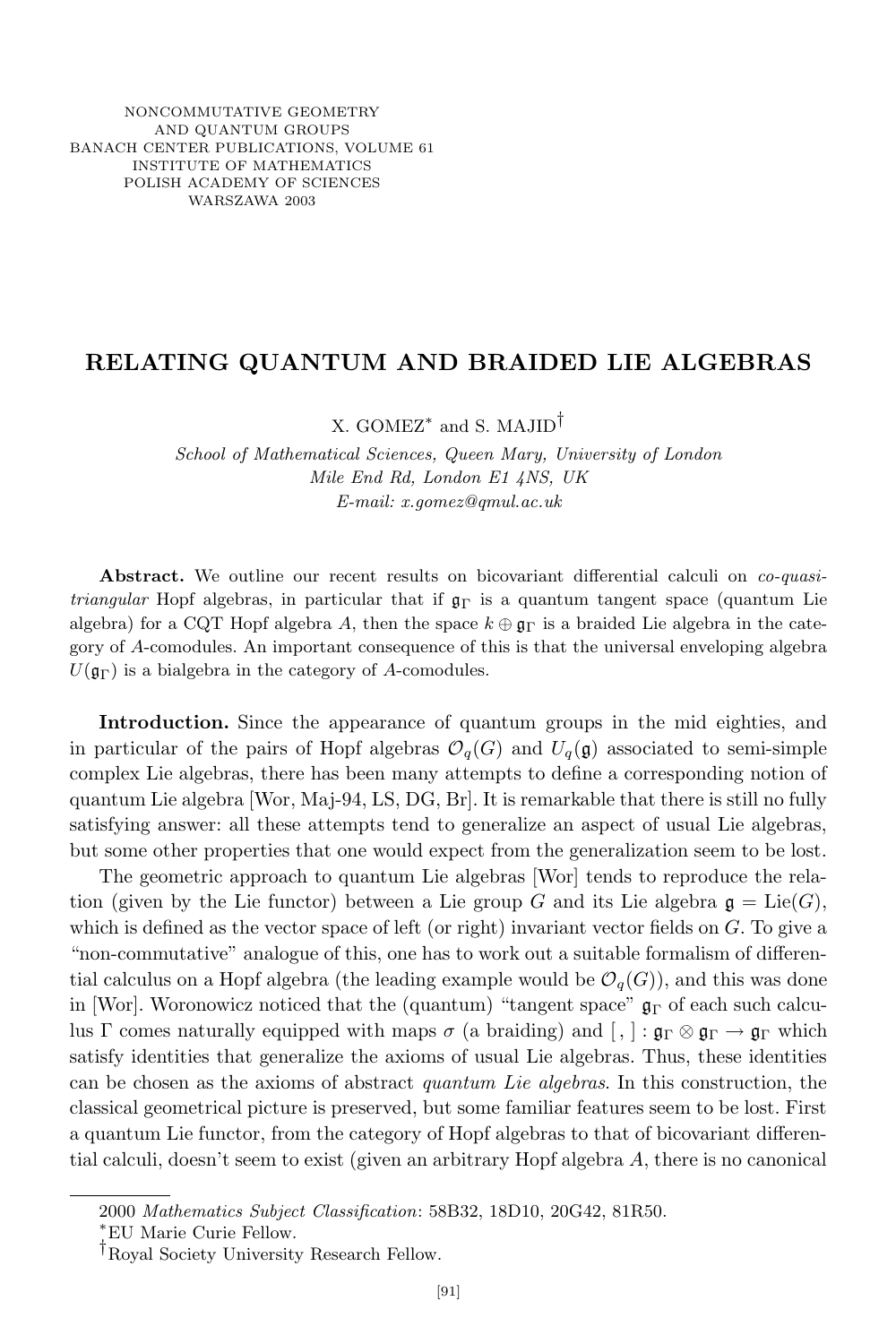## **RELATING QUANTUM AND BRAIDED LIE ALGEBRAS**

X. GOMEZ*∗* and S. MAJID*†*

*School of Mathematical Sciences, Queen Mary, University of London Mile End Rd, London E1 4NS, UK E-mail: x.gomez@qmul.ac.uk*

**Abstract.** We outline our recent results on bicovariant differential calculi on *co-quasitriangular* Hopf algebras, in particular that if  $\mathfrak{g}_{\Gamma}$  is a quantum tangent space (quantum Lie algebra) for a CQT Hopf algebra *A*, then the space  $k \oplus \mathfrak{g}_{\Gamma}$  is a braided Lie algebra in the category of *A*-comodules. An important consequence of this is that the universal enveloping algebra  $U(\mathfrak{g}_{\Gamma})$  is a bialgebra in the category of *A*-comodules.

**Introduction.** Since the appearance of quantum groups in the mid eighties, and in particular of the pairs of Hopf algebras  $\mathcal{O}_q(G)$  and  $U_q(\mathfrak{g})$  associated to semi-simple complex Lie algebras, there has been many attempts to define a corresponding notion of quantum Lie algebra [Wor, Maj-94, LS, DG, Br]. It is remarkable that there is still no fully satisfying answer: all these attempts tend to generalize an aspect of usual Lie algebras, but some other properties that one would expect from the generalization seem to be lost.

The geometric approach to quantum Lie algebras [Wor] tends to reproduce the relation (given by the Lie functor) between a Lie group *G* and its Lie algebra  $\mathfrak{g} = \text{Lie}(G)$ , which is defined as the vector space of left (or right) invariant vector fields on *G*. To give a "non-commutative" analogue of this, one has to work out a suitable formalism of differential calculus on a Hopf algebra (the leading example would be  $\mathcal{O}_q(G)$ ), and this was done in [Wor]. Woronowicz noticed that the (quantum) "tangent space"  $\mathfrak{g}_{\Gamma}$  of each such calculus Γ comes naturally equipped with maps  $\sigma$  (a braiding) and  $\lceil$ ,  $\rceil : \mathfrak{g}_{\Gamma} \otimes \mathfrak{g}_{\Gamma} \to \mathfrak{g}_{\Gamma}$  which satisfy identities that generalize the axioms of usual Lie algebras. Thus, these identities can be chosen as the axioms of abstract *quantum Lie algebras*. In this construction, the classical geometrical picture is preserved, but some familiar features seem to be lost. First a quantum Lie functor, from the category of Hopf algebras to that of bicovariant differential calculi, doesn't seem to exist (given an arbitrary Hopf algebra *A*, there is no canonical

<sup>2000</sup> *Mathematics Subject Classification*: 58B32, 18D10, 20G42, 81R50.

*<sup>∗</sup>*EU Marie Curie Fellow.

*<sup>†</sup>*Royal Society University Research Fellow.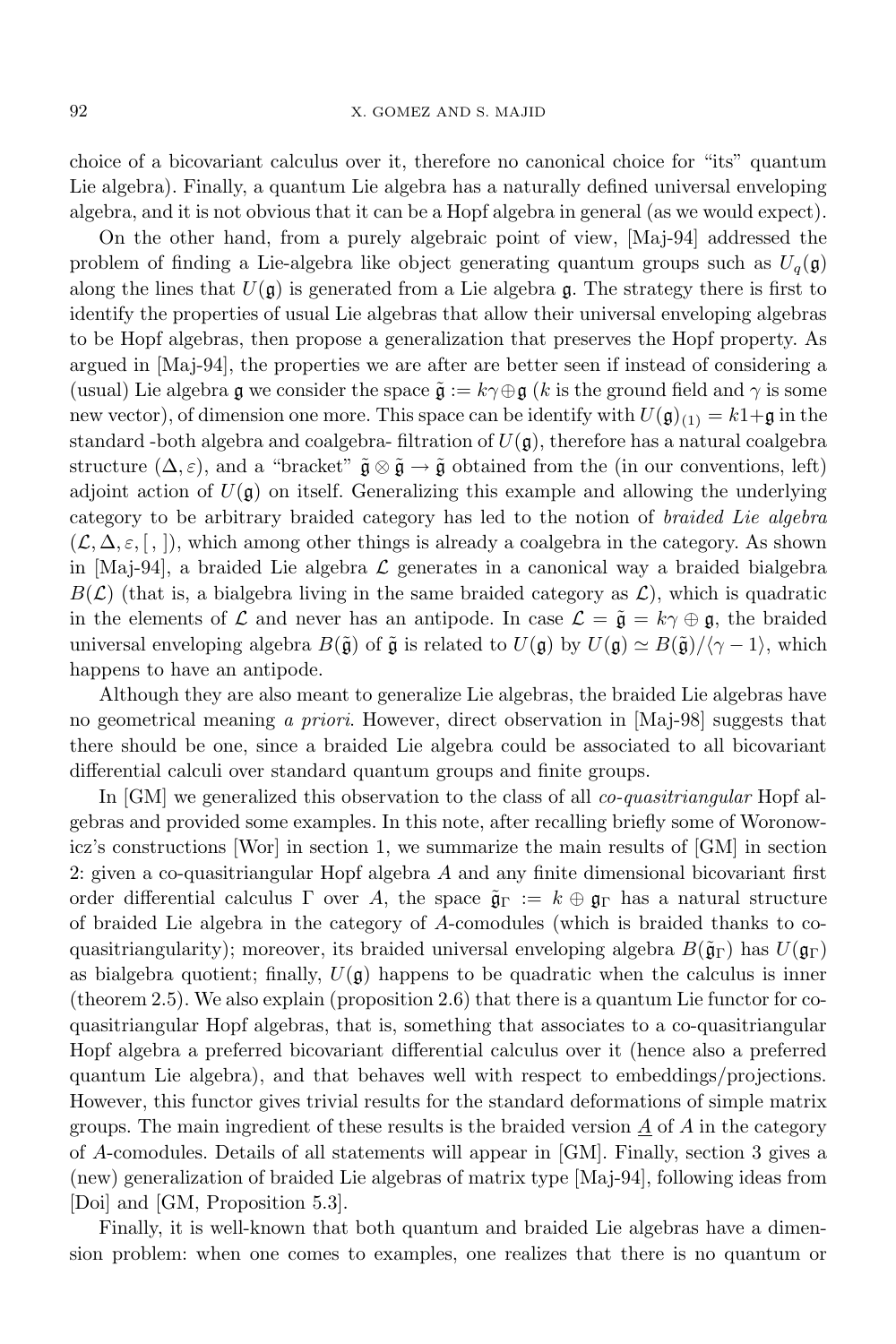choice of a bicovariant calculus over it, therefore no canonical choice for "its" quantum Lie algebra). Finally, a quantum Lie algebra has a naturally defined universal enveloping algebra, and it is not obvious that it can be a Hopf algebra in general (as we would expect).

On the other hand, from a purely algebraic point of view, [Maj-94] addressed the problem of finding a Lie-algebra like object generating quantum groups such as  $U_q(\mathfrak{g})$ along the lines that  $U(\mathfrak{g})$  is generated from a Lie algebra g. The strategy there is first to identify the properties of usual Lie algebras that allow their universal enveloping algebras to be Hopf algebras, then propose a generalization that preserves the Hopf property. As argued in [Maj-94], the properties we are after are better seen if instead of considering a (usual) Lie algebra g we consider the space  $\tilde{\mathfrak{g}} := k\gamma \oplus \mathfrak{g}$  (*k* is the ground field and  $\gamma$  is some new vector), of dimension one more. This space can be identify with  $U(\mathfrak{g})_{(1)} = k1+\mathfrak{g}$  in the standard -both algebra and coalgebra- filtration of  $U(\mathfrak{g})$ , therefore has a natural coalgebra structure  $(\Delta, \varepsilon)$ , and a "bracket"  $\tilde{\mathfrak{g}} \otimes \tilde{\mathfrak{g}} \to \tilde{\mathfrak{g}}$  obtained from the (in our conventions, left) adjoint action of  $U(\mathfrak{g})$  on itself. Generalizing this example and allowing the underlying category to be arbitrary braided category has led to the notion of *braided Lie algebra*  $(L, \Delta, \varepsilon, \lceil, \rceil)$ , which among other things is already a coalgebra in the category. As shown in [Maj-94], a braided Lie algebra *L* generates in a canonical way a braided bialgebra  $B(\mathcal{L})$  (that is, a bialgebra living in the same braided category as  $\mathcal{L}$ ), which is quadratic in the elements of  $\mathcal L$  and never has an antipode. In case  $\mathcal L = \tilde{\mathfrak g} = k\gamma \oplus \mathfrak g$ , the braided universal enveloping algebra  $B(\tilde{\mathfrak{g}})$  of  $\tilde{\mathfrak{g}}$  is related to  $U(\mathfrak{g})$  by  $U(\mathfrak{g}) \simeq B(\tilde{\mathfrak{g}})/\langle \gamma - 1 \rangle$ , which happens to have an antipode.

Although they are also meant to generalize Lie algebras, the braided Lie algebras have no geometrical meaning *a priori*. However, direct observation in [Maj-98] suggests that there should be one, since a braided Lie algebra could be associated to all bicovariant differential calculi over standard quantum groups and finite groups.

In [GM] we generalized this observation to the class of all *co-quasitriangular* Hopf algebras and provided some examples. In this note, after recalling briefly some of Woronowicz's constructions [Wor] in section 1, we summarize the main results of [GM] in section 2: given a co-quasitriangular Hopf algebra *A* and any finite dimensional bicovariant first order differential calculus  $\Gamma$  over A, the space  $\tilde{\mathfrak{g}}_{\Gamma} := k \oplus \mathfrak{g}_{\Gamma}$  has a natural structure of braided Lie algebra in the category of *A*-comodules (which is braided thanks to coquasitriangularity); moreover, its braided universal enveloping algebra  $B(\tilde{\mathfrak{g}}_{\Gamma})$  has  $U(\mathfrak{g}_{\Gamma})$ as bialgebra quotient; finally,  $U(\mathfrak{g})$  happens to be quadratic when the calculus is inner (theorem 2.5). We also explain (proposition 2.6) that there is a quantum Lie functor for coquasitriangular Hopf algebras, that is, something that associates to a co-quasitriangular Hopf algebra a preferred bicovariant differential calculus over it (hence also a preferred quantum Lie algebra), and that behaves well with respect to embeddings/projections. However, this functor gives trivial results for the standard deformations of simple matrix groups. The main ingredient of these results is the braided version  $\underline{A}$  of  $A$  in the category of *A*-comodules. Details of all statements will appear in [GM]. Finally, section 3 gives a (new) generalization of braided Lie algebras of matrix type [Maj-94], following ideas from [Doi] and [GM, Proposition 5.3].

Finally, it is well-known that both quantum and braided Lie algebras have a dimension problem: when one comes to examples, one realizes that there is no quantum or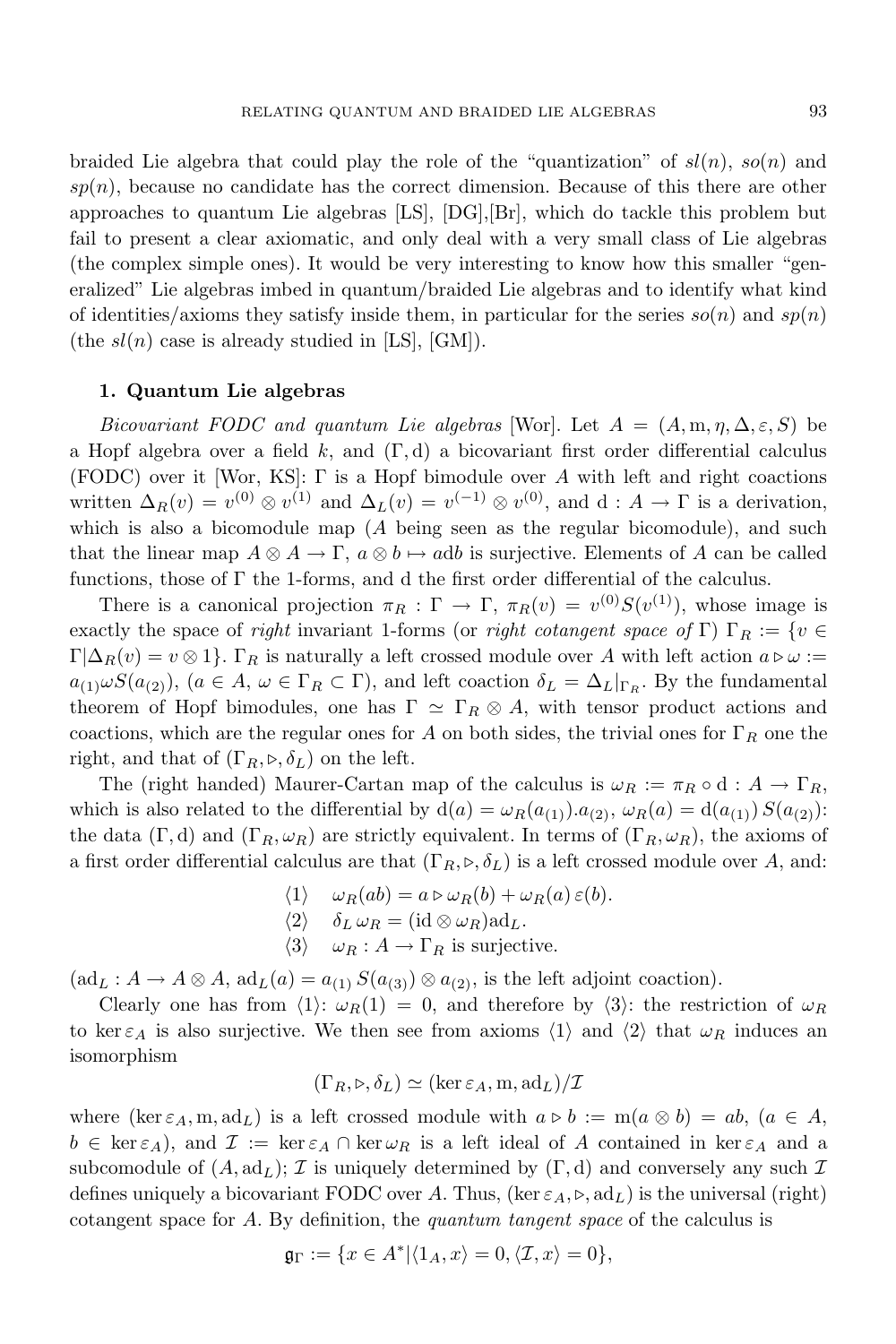braided Lie algebra that could play the role of the "quantization" of  $sl(n)$ ,  $so(n)$  and  $sp(n)$ , because no candidate has the correct dimension. Because of this there are other approaches to quantum Lie algebras [LS], [DG],[Br], which do tackle this problem but fail to present a clear axiomatic, and only deal with a very small class of Lie algebras (the complex simple ones). It would be very interesting to know how this smaller "generalized" Lie algebras imbed in quantum/braided Lie algebras and to identify what kind of identities/axioms they satisfy inside them, in particular for the series  $so(n)$  and  $sp(n)$ (the  $sl(n)$  case is already studied in [LS], [GM]).

## **1. Quantum Lie algebras**

*Bicovariant FODC* and *quantum Lie algebras* [Wor]. Let  $A = (A, m, \eta, \Delta, \varepsilon, S)$  be a Hopf algebra over a field *k*, and (Γ*,* d) a bicovariant first order differential calculus (FODC) over it [Wor, KS]: Γ is a Hopf bimodule over *A* with left and right coactions written  $\Delta_R(v) = v^{(0)} \otimes v^{(1)}$  and  $\Delta_L(v) = v^{(-1)} \otimes v^{(0)}$ , and d:  $A \to \Gamma$  is a derivation, which is also a bicomodule map (*A* being seen as the regular bicomodule), and such that the linear map  $A \otimes A \to \Gamma$ ,  $a \otimes b \mapsto adb$  is surjective. Elements of A can be called functions, those of  $\Gamma$  the 1-forms, and d the first order differential of the calculus.

There is a canonical projection  $\pi_R : \Gamma \to \Gamma$ ,  $\pi_R(v) = v^{(0)}S(v^{(1)})$ , whose image is exactly the space of *right* invariant 1-forms (or *right cotangent space* of Γ) Γ<sub>R</sub> := {*v*  $\in$  $\Gamma[\Delta_R(v) = v \otimes 1]$ .  $\Gamma_R$  is naturally a left crossed module over A with left action  $a \triangleright \omega :=$  $a_{(1)}\omega S(a_{(2)}),$   $(a \in A, \omega \in \Gamma_R \subset \Gamma)$ , and left coaction  $\delta_L = \Delta_L|_{\Gamma_R}$ . By the fundamental theorem of Hopf bimodules, one has  $\Gamma \simeq \Gamma_R \otimes A$ , with tensor product actions and coactions, which are the regular ones for *A* on both sides, the trivial ones for  $\Gamma_R$  one the right, and that of  $(\Gamma_R, \triangleright, \delta_L)$  on the left.

The (right handed) Maurer-Cartan map of the calculus is  $\omega_R := \pi_R \circ d : A \to \Gamma_R$ , which is also related to the differential by  $d(a) = \omega_R(a_{(1)}) \cdot a_{(2)}$ ,  $\omega_R(a) = d(a_{(1)}) S(a_{(2)})$ : the data  $(\Gamma, d)$  and  $(\Gamma_R, \omega_R)$  are strictly equivalent. In terms of  $(\Gamma_R, \omega_R)$ , the axioms of a first order differential calculus are that  $(\Gamma_R, \triangleright, \delta_L)$  is a left crossed module over A, and:

- $\langle 1 \rangle$   $\omega_R(ab) = a \triangleright \omega_R(b) + \omega_R(a) \epsilon(b).$
- $\langle 2 \rangle$   $\delta_L \omega_R = (\mathrm{id} \otimes \omega_R) \mathrm{ad}_L.$
- $\langle 3 \rangle$  *ω*<sub>*R*</sub> : *A*  $\rightarrow$  Γ<sub>*R*</sub> is surjective.

 $(ad_L: A \to A \otimes A, ad_L(a) = a_{(1)} S(a_{(3)}) \otimes a_{(2)},$  is the left adjoint coaction).

Clearly one has from  $\langle 1 \rangle$ :  $\omega_R(1) = 0$ , and therefore by  $\langle 3 \rangle$ : the restriction of  $\omega_R$ to ker  $\varepsilon_A$  is also surjective. We then see from axioms  $\langle 1 \rangle$  and  $\langle 2 \rangle$  that  $\omega_R$  induces an isomorphism

$$
(\Gamma_R, \triangleright, \delta_L) \simeq (\ker \varepsilon_A, \mathbf{m}, \mathrm{ad}_L)/\mathcal{I}
$$

where  $(\ker \varepsilon_A, m, \mathrm{ad}_L)$  is a left crossed module with  $a \triangleright b := m(a \otimes b) = ab$ ,  $(a \in A,$  $b \in \ker \varepsilon_A$ , and  $\mathcal{I} := \ker \varepsilon_A \cap \ker \omega_R$  is a left ideal of *A* contained in  $\ker \varepsilon_A$  and a subcomodule of  $(A, \text{ad}_L)$ ; *I* is uniquely determined by  $(\Gamma, d)$  and conversely any such *I* defines uniquely a bicovariant FODC over A. Thus,  $(\ker \varepsilon_A, \triangleright, \mathrm{ad}_L)$  is the universal (right) cotangent space for *A*. By definition, the *quantum tangent space* of the calculus is

$$
\mathfrak{g}_{\Gamma} := \{ x \in A^* | \langle 1_A, x \rangle = 0, \langle \mathcal{I}, x \rangle = 0 \},
$$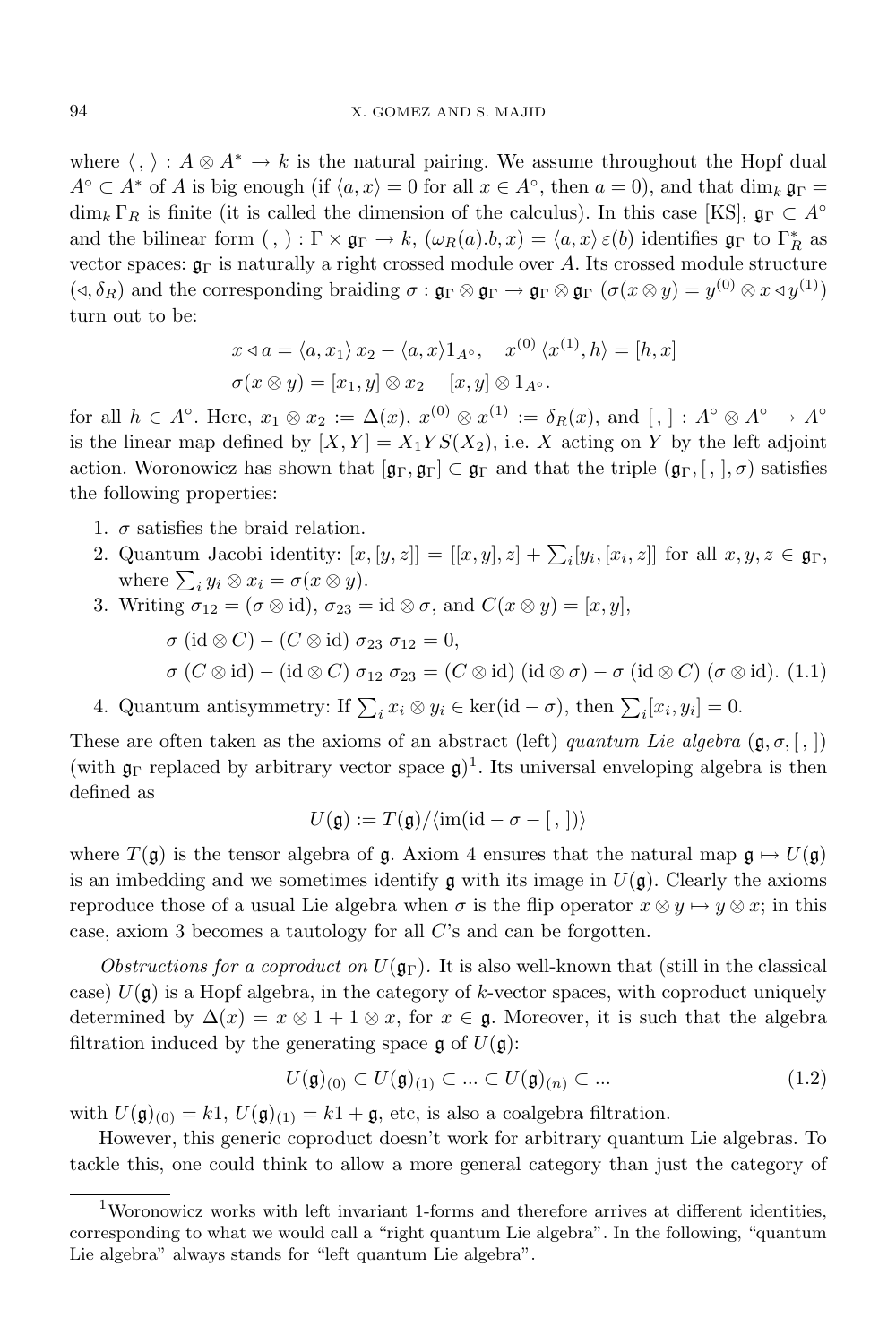where  $\langle , \rangle : A \otimes A^* \to k$  is the natural pairing. We assume throughout the Hopf dual  $A^{\circ} \subset A^*$  of *A* is big enough (if  $\langle a, x \rangle = 0$  for all  $x \in A^{\circ}$ , then  $a = 0$ ), and that dim<sub>*k*</sub>  $\mathfrak{g}_{\Gamma} =$  $\dim_k \Gamma_R$  is finite (it is called the dimension of the calculus). In this case [KS],  $\mathfrak{g}_\Gamma \subset A^\circ$ and the bilinear form  $($ ,  $)$  :  $\Gamma \times \mathfrak{g}_{\Gamma} \to k$ ,  $(\omega_R(a).b,x) = \langle a,x \rangle \varepsilon(b)$  identifies  $\mathfrak{g}_{\Gamma}$  to  $\Gamma_R^*$  as vector spaces:  $\mathfrak{g}_{\Gamma}$  is naturally a right crossed module over A. Its crossed module structure  $(\triangleleft, \delta_R)$  and the corresponding braiding  $\sigma : \mathfrak{g}_{\Gamma} \otimes \mathfrak{g}_{\Gamma} \to \mathfrak{g}_{\Gamma} \otimes \mathfrak{g}_{\Gamma}$   $(\sigma(x \otimes y) = y^{(0)} \otimes x \triangleleft y^{(1)})$ turn out to be:

$$
x \triangleleft a = \langle a, x_1 \rangle x_2 - \langle a, x \rangle 1_{A^\circ}, \quad x^{(0)} \langle x^{(1)}, h \rangle = [h, x]
$$
  

$$
\sigma(x \otimes y) = [x_1, y] \otimes x_2 - [x, y] \otimes 1_{A^\circ}.
$$

for all  $h \in A^{\circ}$ . Here,  $x_1 \otimes x_2 := \Delta(x)$ ,  $x^{(0)} \otimes x^{(1)} := \delta_R(x)$ , and  $[, ] : A^{\circ} \otimes A^{\circ} \to A^{\circ}$ is the linear map defined by  $[X, Y] = X_1 Y S(X_2)$ , i.e. *X* acting on *Y* by the left adjoint action. Woronowicz has shown that  $[\mathfrak{g}_{\Gamma}, \mathfrak{g}_{\Gamma}] \subset \mathfrak{g}_{\Gamma}$  and that the triple  $(\mathfrak{g}_{\Gamma}, [ , ], \sigma)$  satisfies the following properties:

- 1.  $\sigma$  satisfies the braid relation.
- 2. Quantum Jacobi identity:  $[x,[y,z]] = [[x,y],z] + \sum_i [y_i,[x_i,z]]$  for all  $x,y,z \in \mathfrak{g}_{\Gamma}$ , where  $\sum_i y_i \otimes x_i = \sigma(x \otimes y)$ .
- 3. Writing  $\sigma_{12} = (\sigma \otimes id), \sigma_{23} = id \otimes \sigma, \text{ and } C(x \otimes y) = [x, y],$ 
	- $\sigma$  (id  $\otimes$  *C*) *−* (*C*  $\otimes$  id)  $\sigma_{23}$   $\sigma_{12}$  = 0*,*  $\sigma$  (*C*  $\otimes$  id) – (id  $\otimes$  *C*)  $\sigma_{12}$   $\sigma_{23}$  = (*C*  $\otimes$  id) (id  $\otimes$   $\sigma$ ) –  $\sigma$  (id  $\otimes$  *C*) ( $\sigma$   $\otimes$  id). (1.1)
- 4. Quantum antisymmetry: If  $\sum_i x_i \otimes y_i \in \text{ker}(\text{id} \sigma)$ , then  $\sum_i [x_i, y_i] = 0$ .

These are often taken as the axioms of an abstract (left) *quantum Lie algebra* ( $\mathfrak{g}, \sigma, [\cdot, ]$ (with  $\mathfrak{g}_{\Gamma}$  replaced by arbitrary vector space  $\mathfrak{g})^1$ . Its universal enveloping algebra is then defined as

$$
U(\mathfrak{g}) := T(\mathfrak{g}) / \langle \text{im}(\text{id} - \sigma - [ \, , \, ]) \rangle
$$

where  $T(\mathfrak{g})$  is the tensor algebra of  $\mathfrak{g}$ . Axiom 4 ensures that the natural map  $\mathfrak{g} \mapsto U(\mathfrak{g})$ is an imbedding and we sometimes identify  $\mathfrak g$  with its image in  $U(\mathfrak g)$ . Clearly the axioms reproduce those of a usual Lie algebra when  $\sigma$  is the flip operator  $x \otimes y \mapsto y \otimes x$ ; in this case, axiom 3 becomes a tautology for all *C*'s and can be forgotten.

*Obstructions for a coproduct on*  $U(\mathfrak{g}_{\Gamma})$ . It is also well-known that (still in the classical case)  $U(\mathfrak{g})$  is a Hopf algebra, in the category of *k*-vector spaces, with coproduct uniquely determined by  $\Delta(x) = x \otimes 1 + 1 \otimes x$ , for  $x \in \mathfrak{g}$ . Moreover, it is such that the algebra filtration induced by the generating space  $\mathfrak g$  of  $U(\mathfrak g)$ :

$$
U(\mathfrak{g})_{(0)} \subset U(\mathfrak{g})_{(1)} \subset \ldots \subset U(\mathfrak{g})_{(n)} \subset \ldots \tag{1.2}
$$

with  $U(\mathfrak{g})_{(0)} = k1$ ,  $U(\mathfrak{g})_{(1)} = k1 + \mathfrak{g}$ , etc, is also a coalgebra filtration.

However, this generic coproduct doesn't work for arbitrary quantum Lie algebras. To tackle this, one could think to allow a more general category than just the category of

<sup>1</sup>Woronowicz works with left invariant 1-forms and therefore arrives at different identities, corresponding to what we would call a "right quantum Lie algebra". In the following, "quantum Lie algebra" always stands for "left quantum Lie algebra".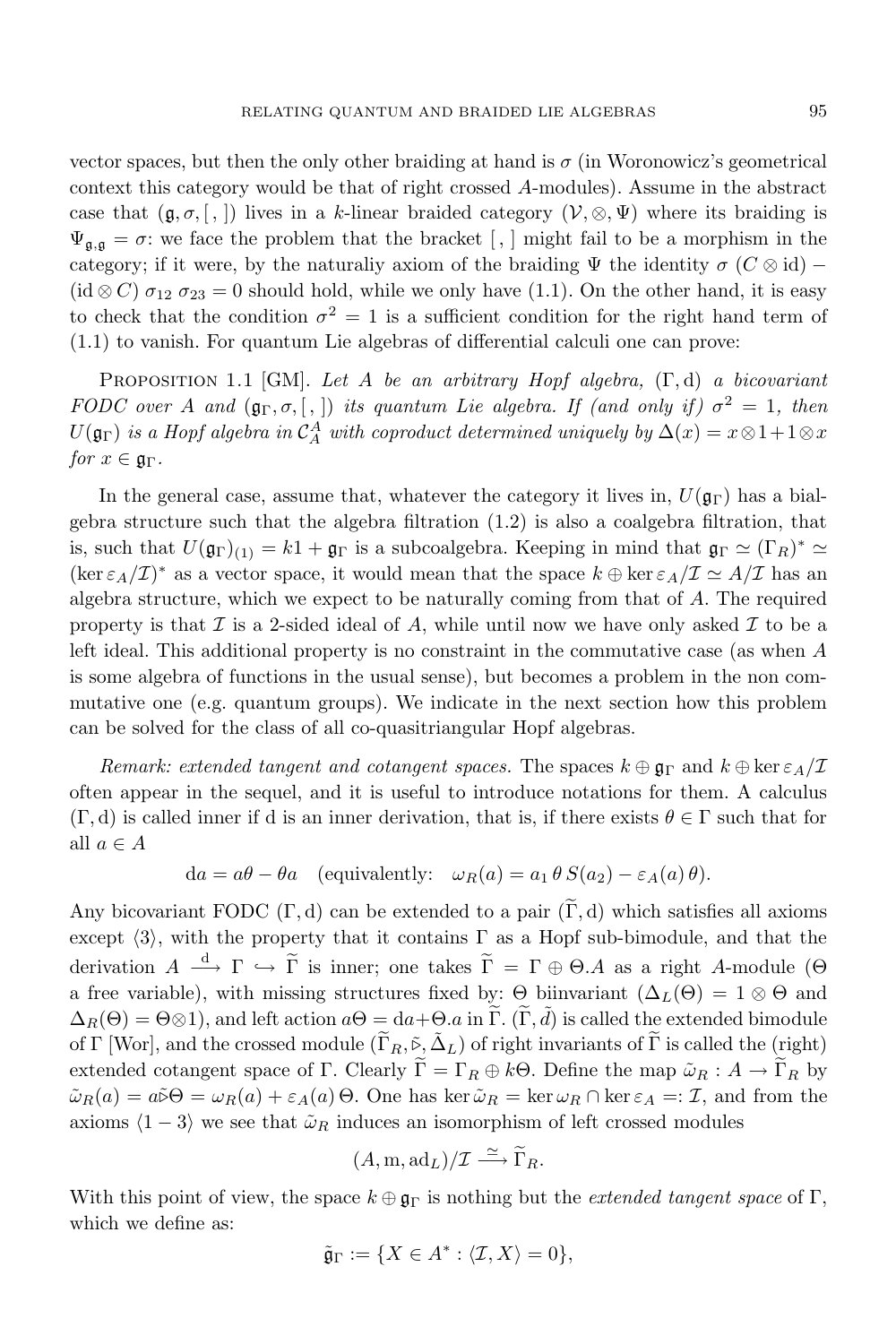vector spaces, but then the only other braiding at hand is  $\sigma$  (in Woronowicz's geometrical context this category would be that of right crossed *A*-modules). Assume in the abstract case that  $(\mathfrak{g}, \sigma, [\ ,])$  lives in a *k*-linear braided category  $(\mathcal{V}, \otimes, \Psi)$  where its braiding is  $\Psi_{\mathfrak{a},\mathfrak{a}}=\sigma$ : we face the problem that the bracket [, ] might fail to be a morphism in the category; if it were, by the naturaliy axiom of the braiding  $\Psi$  the identity  $\sigma$  ( $C \otimes id$ ) –  $(id \otimes C) \sigma_{12} \sigma_{23} = 0$  should hold, while we only have (1.1). On the other hand, it is easy to check that the condition  $\sigma^2 = 1$  is a sufficient condition for the right hand term of  $(1.1)$  to vanish. For quantum Lie algebras of differential calculi one can prove:

Proposition 1.1 [GM]. *Let A be an arbitrary Hopf algebra,* (Γ*,* d) *a bicovariant FODC over A and*  $(\mathfrak{g}_{\Gamma}, \sigma, \lceil, \rceil)$  *its quantum Lie algebra. If (and only if)*  $\sigma^2 = 1$ *, then*  $U(\mathfrak{g}_{\Gamma})$  *is a Hopf algebra in*  $\mathcal{C}_A^A$  *with coproduct determined uniquely by*  $\Delta(x) = x \otimes 1 + 1 \otimes x$ *for*  $x \in \mathfrak{g}_{\Gamma}$ *.* 

In the general case, assume that, whatever the category it lives in,  $U(\mathfrak{g}_{\Gamma})$  has a bialgebra structure such that the algebra filtration (1.2) is also a coalgebra filtration, that is, such that  $U(\mathfrak{g}_{\Gamma})_{(1)} = k1 + \mathfrak{g}_{\Gamma}$  is a subcoalgebra. Keeping in mind that  $\mathfrak{g}_{\Gamma} \simeq (\Gamma_R)^* \simeq$  $(\ker \varepsilon_A/\mathcal{I})^*$  as a vector space, it would mean that the space  $k \oplus \ker \varepsilon_A/\mathcal{I} \simeq A/\mathcal{I}$  has an algebra structure, which we expect to be naturally coming from that of *A*. The required property is that  $\mathcal I$  is a 2-sided ideal of  $A$ , while until now we have only asked  $\mathcal I$  to be a left ideal. This additional property is no constraint in the commutative case (as when *A* is some algebra of functions in the usual sense), but becomes a problem in the non commutative one (e.g. quantum groups). We indicate in the next section how this problem can be solved for the class of all co-quasitriangular Hopf algebras.

*Remark: extended tangent and cotangent spaces.* The spaces  $k \oplus \mathfrak{g}_{\Gamma}$  and  $k \oplus \ker \varepsilon_A/\mathcal{I}$ often appear in the sequel, and it is useful to introduce notations for them. A calculus  $(\Gamma, d)$  is called inner if d is an inner derivation, that is, if there exists  $\theta \in \Gamma$  such that for all  $a \in A$ 

$$
da = a\theta - \theta a
$$
 (equivalently:  $\omega_R(a) = a_1 \theta S(a_2) - \varepsilon_A(a) \theta$ ).

Any bicovariant FODC  $(\Gamma, d)$  can be extended to a pair  $(\Gamma, d)$  which satisfies all axioms except *h*3*i*, with the property that it contains Γ as a Hopf sub-bimodule, and that the derivation  $A \stackrel{d}{\longrightarrow} \Gamma \hookrightarrow \widetilde{\Gamma}$  is inner; one takes  $\widetilde{\Gamma} = \Gamma \oplus \Theta.A$  as a right *A*-module ( $\Theta$ a free variable), with missing structures fixed by:  $\Theta$  biinvariant ( $\Delta_L(\Theta) = 1 \otimes \Theta$  and  $\Delta_R(\Theta) = \Theta \otimes 1$ , and left action  $a\Theta = da + \Theta$ *, a* in  $\tilde{\Gamma}$ *.*  $(\tilde{\Gamma}, \tilde{d})$  is called the extended bimodule of Γ [Wor], and the crossed module  $(\widetilde{\Gamma}_R, \widetilde{\rho}, \widetilde{\Delta}_L)$  of right invariants of  $\widetilde{\Gamma}$  is called the (right) extended cotangent space of Γ. Clearly  $\widetilde{\Gamma} = \Gamma_R \oplus k\Theta$ . Define the map  $\tilde{\omega}_R : A \to \widetilde{\Gamma}_R$  by  $\tilde{\omega}_R(a) = a \tilde{\omega} \Theta = \omega_R(a) + \varepsilon_A(a) \Theta$ . One has ker  $\tilde{\omega}_R = \ker \omega_R \cap \ker \varepsilon_A =: \mathcal{I}$ , and from the axioms  $\langle 1 - 3 \rangle$  we see that  $\tilde{\omega}_R$  induces an isomorphism of left crossed modules

$$
(A, m, adL)/\mathcal{I} \xrightarrow{\simeq} \widetilde{\Gamma}_R.
$$

With this point of view, the space  $k \oplus \mathfrak{g}_{\Gamma}$  is nothing but the *extended tangent space* of  $\Gamma$ , which we define as:

$$
\tilde{\mathfrak{g}}_{\Gamma} := \{ X \in A^* : \langle \mathcal{I}, X \rangle = 0 \},
$$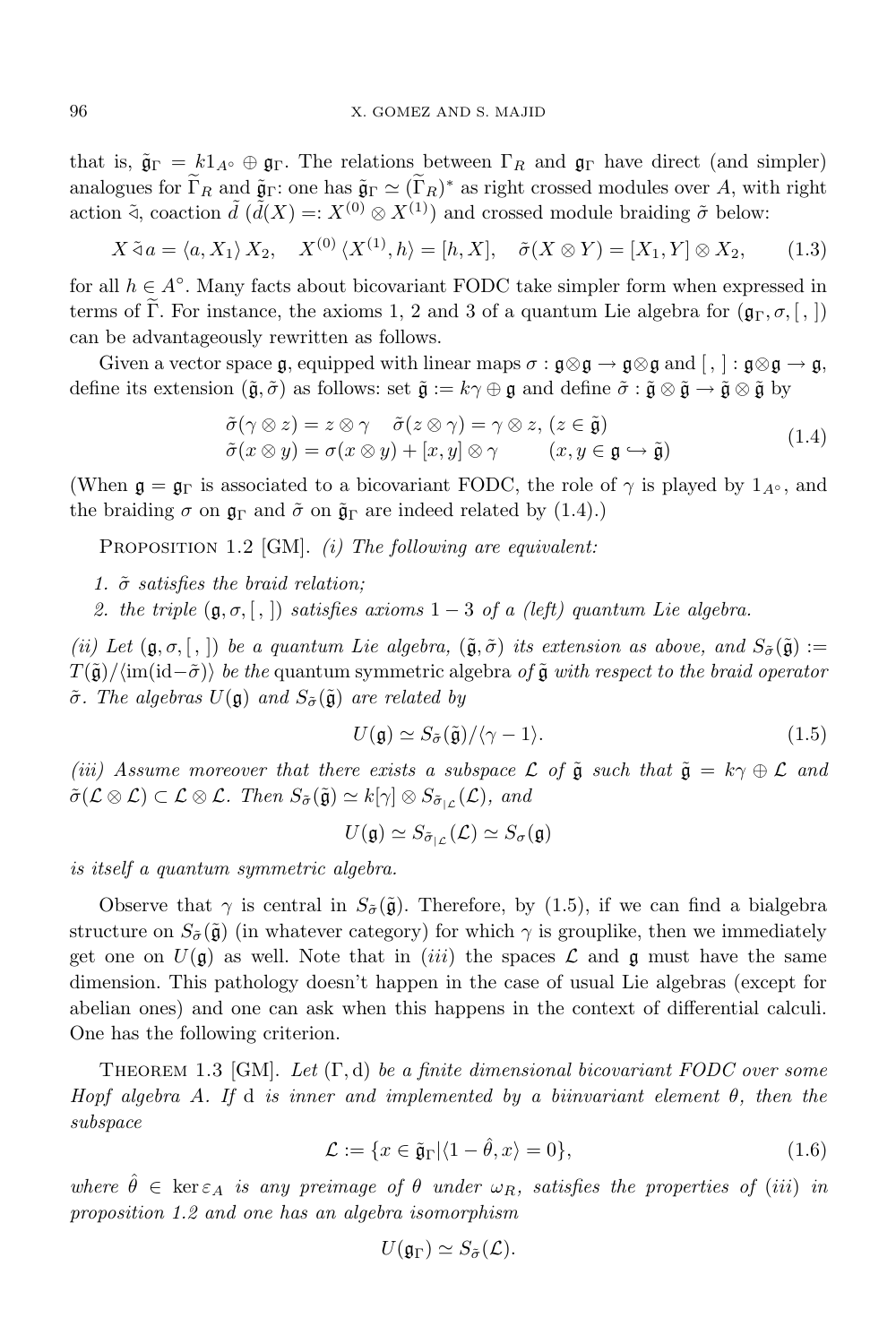that is,  $\tilde{\mathfrak{g}}_{\Gamma} = k1_{A^{\circ}} \oplus \mathfrak{g}_{\Gamma}$ . The relations between  $\Gamma_R$  and  $\mathfrak{g}_{\Gamma}$  have direct (and simpler) analogues for  $\Gamma_R$  and  $\tilde{\mathfrak{g}}_{\Gamma}$ : one has  $\tilde{\mathfrak{g}}_{\Gamma} \simeq (\Gamma_R)^*$  as right crossed modules over *A*, with right action  $\tilde{d}$ , coaction  $\tilde{d}(\tilde{d}(X)) = X^{(0)} \otimes X^{(1)}$  and crossed module braiding  $\tilde{\sigma}$  below:

$$
X \tilde{\triangleleft} a = \langle a, X_1 \rangle X_2, \quad X^{(0)} \langle X^{(1)}, h \rangle = [h, X], \quad \tilde{\sigma}(X \otimes Y) = [X_1, Y] \otimes X_2,\tag{1.3}
$$

for all *h ∈ A◦* . Many facts about bicovariant FODC take simpler form when expressed in terms of Γ. For instance, the axioms 1, 2 and 3 of a quantum Lie algebra for  $(\mathfrak{g}_{\Gamma}, \sigma, [,])$ can be advantageously rewritten as follows.

Given a vector space g, equipped with linear maps  $\sigma : \mathfrak{g} \otimes \mathfrak{g} \to \mathfrak{g} \otimes \mathfrak{g}$  and  $[ , ] : \mathfrak{g} \otimes \mathfrak{g} \to \mathfrak{g}$ , define its extension  $(\tilde{\mathfrak{g}}, \tilde{\sigma})$  as follows: set  $\tilde{\mathfrak{g}} := k\gamma \oplus \mathfrak{g}$  and define  $\tilde{\sigma} : \tilde{\mathfrak{g}} \otimes \tilde{\mathfrak{g}} \to \tilde{\mathfrak{g}} \otimes \tilde{\mathfrak{g}}$  by

$$
\tilde{\sigma}(\gamma \otimes z) = z \otimes \gamma \quad \tilde{\sigma}(z \otimes \gamma) = \gamma \otimes z, (z \in \tilde{\mathfrak{g}})
$$
  
\n
$$
\tilde{\sigma}(x \otimes y) = \sigma(x \otimes y) + [x, y] \otimes \gamma \qquad (x, y \in \mathfrak{g} \hookrightarrow \tilde{\mathfrak{g}})
$$
\n(1.4)

(When  $\mathfrak{g} = \mathfrak{g}_{\Gamma}$  is associated to a bicovariant FODC, the role of  $\gamma$  is played by  $1_{A^{\circ}}$ , and the braiding  $\sigma$  on  $\mathfrak{g}_{\Gamma}$  and  $\tilde{\sigma}$  on  $\tilde{\mathfrak{g}}_{\Gamma}$  are indeed related by (1.4).)

Proposition 1.2 [GM]. *(i) The following are equivalent:*

*1. σ*˜ *satisfies the braid relation;*

*2. the triple*  $(g, \sigma, \lceil, \rceil)$  *satisfies axioms*  $1 - 3$  *of a (left) quantum Lie algebra.* 

(ii) Let  $(\mathfrak{g}, \sigma, [\cdot])$  be a quantum Lie algebra,  $(\tilde{\mathfrak{g}}, \tilde{\sigma})$  its extension as above, and  $S_{\tilde{\sigma}}(\tilde{\mathfrak{g}})$  := *T*( $\tilde{g}$ )/ $\langle \text{im}(\text{id}-\tilde{\sigma}) \rangle$  *be the* quantum symmetric algebra *of*  $\tilde{g}$  *with respect to the braid operator*  $\tilde{\sigma}$ *. The algebras*  $U(\mathfrak{g})$  *and*  $S_{\tilde{\sigma}}(\tilde{\mathfrak{g}})$  *are related by* 

$$
U(\mathfrak{g}) \simeq S_{\tilde{\sigma}}(\tilde{\mathfrak{g}}) / \langle \gamma - 1 \rangle. \tag{1.5}
$$

*(iii) Assume moreover that there exists a subspace*  $\mathcal L$  *of*  $\tilde{\mathfrak g}$  *such that*  $\tilde{\mathfrak g} = k\gamma \oplus \mathcal L$  *and*  $\tilde{\sigma}(\mathcal{L}\otimes\mathcal{L})\subset\mathcal{L}\otimes\mathcal{L}$ *. Then*  $S_{\tilde{\sigma}}(\tilde{\mathfrak{g}})\simeq k[\gamma]\otimes S_{\tilde{\sigma}_{1\mathcal{L}}}(\mathcal{L})$ *, and* 

$$
U(\mathfrak{g})\simeq S_{\tilde{\sigma}_{|\mathcal{L}}}(\mathcal{L})\simeq S_{\sigma}(\mathfrak{g})
$$

*is itself a quantum symmetric algebra.*

Observe that  $\gamma$  is central in  $S_{\tilde{\sigma}}(\tilde{\mathfrak{g}})$ . Therefore, by (1.5), if we can find a bialgebra structure on  $S_{\tilde{\sigma}}(\tilde{\mathfrak{g}})$  (in whatever category) for which  $\gamma$  is grouplike, then we immediately get one on  $U(\mathfrak{g})$  as well. Note that in *(iii)* the spaces  $\mathcal L$  and  $\mathfrak g$  must have the same dimension. This pathology doesn't happen in the case of usual Lie algebras (except for abelian ones) and one can ask when this happens in the context of differential calculi. One has the following criterion.

Theorem 1.3 [GM]. *Let* (Γ*,* d) *be a finite dimensional bicovariant FODC over some Hopf algebra A. If* d *is inner and implemented by a biinvariant element θ, then the subspace*

$$
\mathcal{L} := \{ x \in \tilde{\mathfrak{g}}_{\Gamma} | \langle 1 - \hat{\theta}, x \rangle = 0 \},\tag{1.6}
$$

where  $\hat{\theta} \in \ker \varepsilon_A$  is any preimage of  $\theta$  under  $\omega_R$ , satisfies the properties of (iii) in *proposition 1.2 and one has an algebra isomorphism*

$$
U(\mathfrak{g}_{\Gamma})\simeq S_{\tilde{\sigma}}(\mathcal{L}).
$$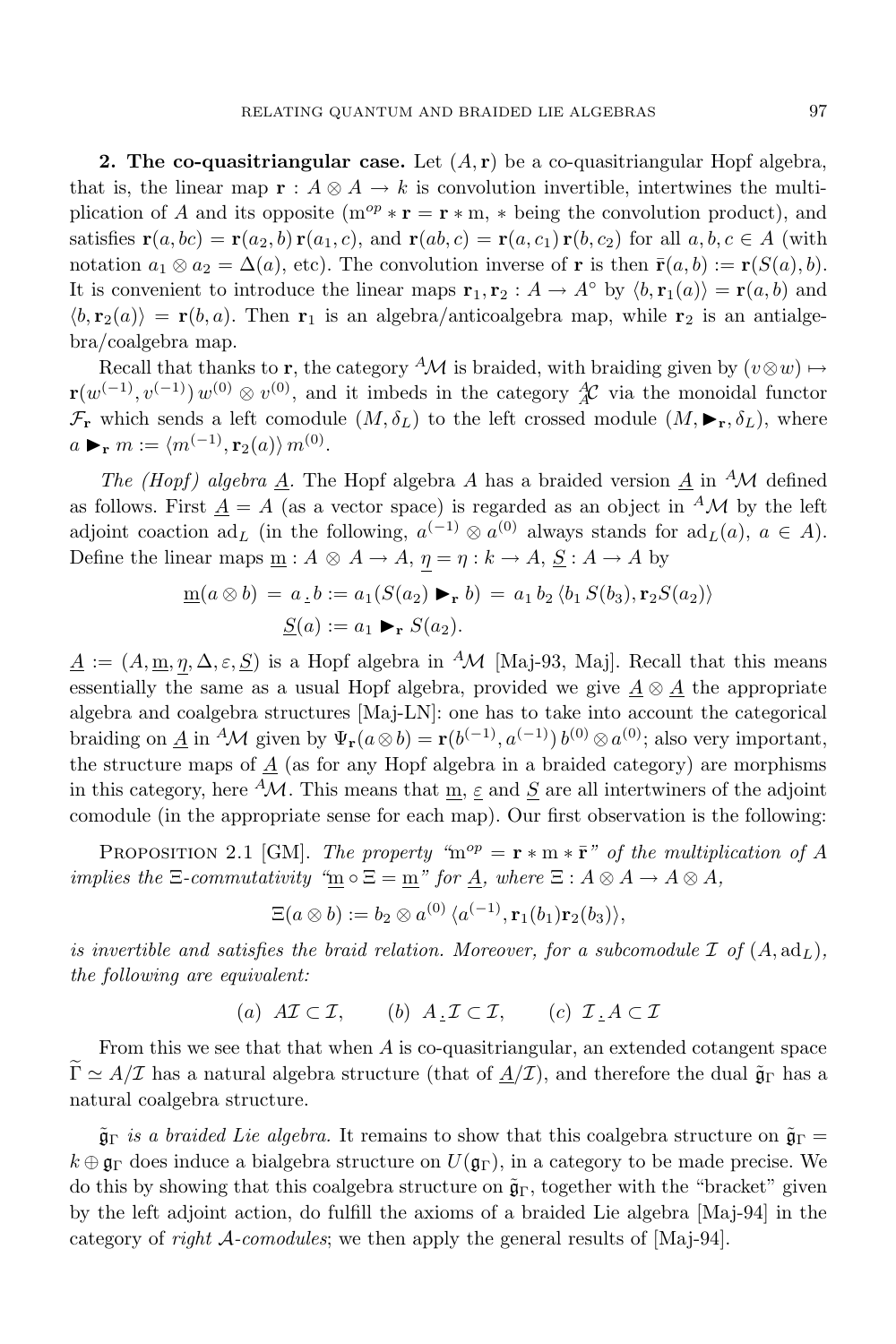**2. The co-quasitriangular case.** Let (*A,* **r**) be a co-quasitriangular Hopf algebra, that is, the linear map  $\mathbf{r} : A \otimes A \to k$  is convolution invertible, intertwines the multiplication of *A* and its opposite ( $m^{op} * r = r * m$ , *\** being the convolution product), and satisfies  $\mathbf{r}(a,bc) = \mathbf{r}(a_2,b)\mathbf{r}(a_1,c)$ , and  $\mathbf{r}(ab,c) = \mathbf{r}(a,c_1)\mathbf{r}(b,c_2)$  for all  $a,b,c \in A$  (with notation  $a_1 \otimes a_2 = \Delta(a)$ , etc). The convolution inverse of **r** is then  $\bar{\mathbf{r}}(a,b) := \mathbf{r}(S(a),b)$ . It is convenient to introduce the linear maps  $\mathbf{r}_1, \mathbf{r}_2 : A \to A^\circ$  by  $\langle b, \mathbf{r}_1(a) \rangle = \mathbf{r}(a, b)$  and  $\langle b, \mathbf{r}_2(a) \rangle = \mathbf{r}(b, a)$ . Then  $\mathbf{r}_1$  is an algebra/anticoalgebra map, while  $\mathbf{r}_2$  is an antialgebra/coalgebra map.

Recall that thanks to **r**, the category <sup>*A*</sup>*M* is braided, with braiding given by  $(v \otimes w) \mapsto$ **r**( $w$ <sup>(−1)</sup>,  $v$ <sup>(−1)</sup>)  $w$ <sup>(0)</sup>  $\otimes v$ <sup>(0)</sup>, and it imbeds in the category  $\overset{A}{A}C$  via the monoidal functor  $\mathcal{F}_{\mathbf{r}}$  which sends a left comodule  $(M, \delta_L)$  to the left crossed module  $(M, \blacktriangleright_{\mathbf{r}}, \delta_L)$ , where  $a \triangleright_r m := \langle m^{(-1)}, \mathbf{r}_2(a) \rangle m^{(0)}.$ 

*The (Hopf) algebra* <u>*A*</u>. The Hopf algebra *A* has a braided version <u>*A*</u> in <sup>*A*</sup>*M* defined as follows. First  $A = A$  (as a vector space) is regarded as an object in <sup> $A$ </sup>*M* by the left adjoint coaction  $ad_L$  (in the following,  $a^{(-1)} \otimes a^{(0)}$  always stands for  $ad_L(a)$ ,  $a \in A$ ). Define the linear maps  $\underline{m}$ :  $A \otimes A \rightarrow A$ ,  $\eta = \eta : k \rightarrow A$ ,  $\underline{S} : A \rightarrow A$  by

$$
\underline{m}(a \otimes b) = a \cdot b := a_1(S(a_2) \blacktriangleright_r b) = a_1 b_2 \langle b_1 S(b_3), \mathbf{r}_2 S(a_2) \rangle
$$

$$
\underline{S}(a) := a_1 \blacktriangleright_r S(a_2).
$$

 $\underline{A}$  :=  $(A, \underline{m}, \eta, \Delta, \varepsilon, \underline{S})$  is a Hopf algebra in <sup>*A*</sup>*M* [Maj-93, Maj]. Recall that this means essentially the same as a usual Hopf algebra, provided we give  $\underline{A} \otimes \underline{A}$  the appropriate algebra and coalgebra structures [Maj-LN]: one has to take into account the categorical braiding on <u>*A*</u> in <sup>*A*</sup>*M* given by  $\Psi_r(a \otimes b) = r(b^{(-1)}, a^{(-1)}) b^{(0)} \otimes a^{(0)}$ ; also very important, the structure maps of  $\underline{A}$  (as for any Hopf algebra in a braided category) are morphisms in this category, here <sup> $A$ </sup>*M*. This means that  $\underline{m}$ ,  $\underline{\varepsilon}$  and  $\underline{S}$  are all intertwiners of the adjoint comodule (in the appropriate sense for each map). Our first observation is the following:

PROPOSITION 2.1 [GM]. *The property*  $\omega^m = \mathbf{r} * \mathbf{m} * \mathbf{\bar{r}}'$  *of the multiplication of A implies the*  $\Xi$ -*commutativity*  $\mathscr{L}_m \circ \Xi = m$ *" for*  $\underline{A}$ *, where*  $\Xi : A \otimes A \rightarrow A \otimes A$ *,* 

$$
\Xi(a\otimes b):=b_2\otimes a^{(0)}\,\langle a^{(-1)},\mathbf{r}_1(b_1)\mathbf{r}_2(b_3)\rangle,
$$

*is* invertible and satisfies the braid relation. Moreover, for a subcomodule  $\mathcal{I}$  of  $(A, ad_L)$ , *the following are equivalent:*

(*a*)  $A\mathcal{I} \subset \mathcal{I}$ , (*b*)  $A \cdot \mathcal{I} \subset \mathcal{I}$ , (*c*)  $\mathcal{I} \cdot A \subset \mathcal{I}$ 

From this we see that that when *A* is co-quasitriangular, an extended cotangent space  $\tilde{\Gamma} \simeq A/\mathcal{I}$  has a natural algebra structure (that of  $A/\mathcal{I}$ ), and therefore the dual  $\tilde{\mathfrak{g}}_{\Gamma}$  has a natural coalgebra structure.

 $\tilde{\mathfrak{g}}_{\Gamma}$  *is a braided Lie algebra.* It remains to show that this coalgebra structure on  $\tilde{\mathfrak{g}}_{\Gamma}$  =  $k \oplus \mathfrak{g}_{\Gamma}$  does induce a bialgebra structure on  $U(\mathfrak{g}_{\Gamma})$ , in a category to be made precise. We do this by showing that this coalgebra structure on  $\tilde{\mathfrak{g}}_{\Gamma}$ , together with the "bracket" given by the left adjoint action, do fulfill the axioms of a braided Lie algebra [Maj-94] in the category of *right A-comodules*; we then apply the general results of [Maj-94].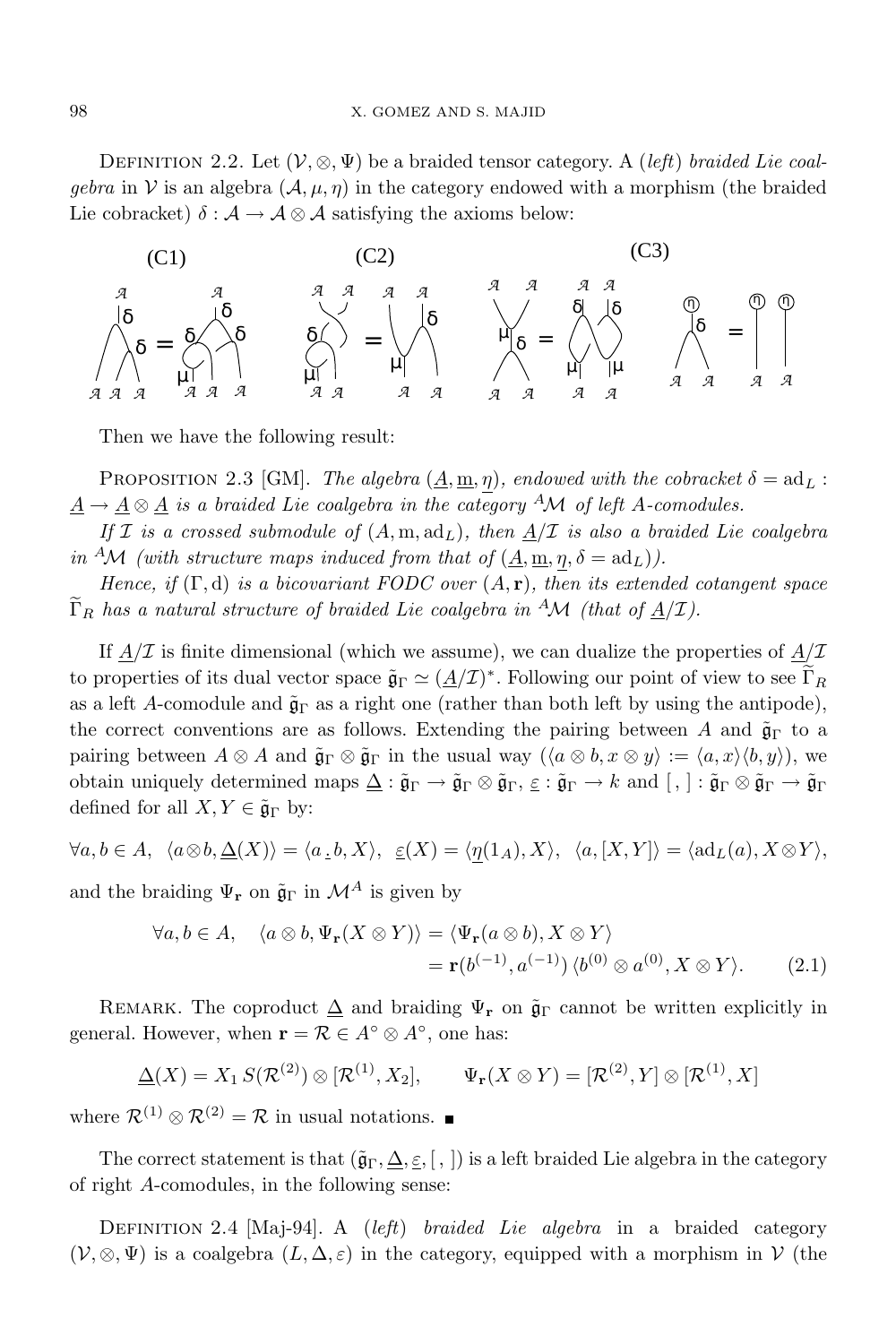DEFINITION 2.2. Let  $(V, \otimes, \Psi)$  be a braided tensor category. A *(left) braided* Lie coal*gebra* in *V* is an algebra  $(A, \mu, \eta)$  in the category endowed with a morphism (the braided Lie cobracket)  $\delta : A \to A \otimes A$  satisfying the axioms below:



Then we have the following result:

PROPOSITION 2.3 [GM]. *The algebra*  $(A, m, \eta)$ *, endowed with the cobracket*  $\delta = ad_L$ :  $\underline{A} \rightarrow \underline{A} \otimes \underline{A}$  *is a braided Lie coalgebra in the category*  $^A\mathcal{M}$  *of left A-comodules.* 

*If*  $I$  *is a crossed submodule of*  $(A, m, ad<sub>L</sub>)$ *, then*  $A/I$  *is also a braided Lie coalgebra in* <sup>*A*</sup>*M* (with *structure maps induced from that of*  $(\underline{A}, \underline{m}, \eta, \delta = \text{ad}_L)$ ).

*Hence, if* (Γ*,* d) *is a bicovariant FODC over* (*A,* **r**)*, then its extended cotangent space*  $\Gamma_R$  *has a natural structure of braided Lie coalgebra in* <sup>*A*</sup>*M* (*that of*  $A/I$ ).

If  $A/\mathcal{I}$  is finite dimensional (which we assume), we can dualize the properties of  $A/\mathcal{I}$ to properties of its dual vector space  $\tilde{\mathfrak{g}}_{\Gamma} \simeq (\underline{A}/\mathcal{I})^*$ . Following our point of view to see  $\Gamma_R$ as a left *A*-comodule and  $\tilde{\mathfrak{g}}_{\Gamma}$  as a right one (rather than both left by using the antipode), the correct conventions are as follows. Extending the pairing between *A* and  $\tilde{\mathfrak{g}}_{\Gamma}$  to a pairing between  $A \otimes A$  and  $\tilde{\mathfrak{g}}_{\Gamma} \otimes \tilde{\mathfrak{g}}_{\Gamma}$  in the usual way  $(\langle a \otimes b, x \otimes y \rangle := \langle a, x \rangle \langle b, y \rangle)$ , we obtain uniquely determined maps  $\Delta : \tilde{\mathfrak{g}}_{\Gamma} \to \tilde{\mathfrak{g}}_{\Gamma} \otimes \tilde{\mathfrak{g}}_{\Gamma} \to k$  and  $[ , ] : \tilde{\mathfrak{g}}_{\Gamma} \otimes \tilde{\mathfrak{g}}_{\Gamma} \to \tilde{\mathfrak{g}}_{\Gamma}$ defined for all  $X, Y \in \tilde{\mathfrak{g}}_{\Gamma}$  by:

$$
\forall a,b\in A,~~\langle a\otimes b,\underline{\Delta}(X)\rangle=\langle a\,\underline{\cdot}\,b,X\rangle,~~\underline{\varepsilon}(X)=\langle\underline{\eta}(1_A),X\rangle,~~\langle a,[X,Y]\rangle=\langle{\rm ad}_L(a),X\otimes Y\rangle,
$$

and the braiding  $\Psi_{\mathbf{r}}$  on  $\tilde{\mathfrak{g}}_{\Gamma}$  in  $\mathcal{M}^A$  is given by

$$
\forall a, b \in A, \quad \langle a \otimes b, \Psi_{\mathbf{r}}(X \otimes Y) \rangle = \langle \Psi_{\mathbf{r}}(a \otimes b), X \otimes Y \rangle
$$
  
=  $\mathbf{r}(b^{(-1)}, a^{(-1)}) \langle b^{(0)} \otimes a^{(0)}, X \otimes Y \rangle.$  (2.1)

REMARK. The coproduct  $\Delta$  and braiding  $\Psi_{\mathbf{r}}$  on  $\tilde{\mathfrak{g}}_{\Gamma}$  cannot be written explicitly in general. However, when  $\mathbf{r} = \mathcal{R} \in A^{\circ} \otimes A^{\circ}$ , one has:

$$
\underline{\Delta}(X) = X_1 S(\mathcal{R}^{(2)}) \otimes [\mathcal{R}^{(1)}, X_2], \qquad \Psi_{\mathbf{r}}(X \otimes Y) = [\mathcal{R}^{(2)}, Y] \otimes [\mathcal{R}^{(1)}, X]
$$

where  $\mathcal{R}^{(1)} \otimes \mathcal{R}^{(2)} = \mathcal{R}$  in usual notations. ■

The correct statement is that  $(\tilde{\mathfrak{g}}_{\Gamma}, \underline{\Delta}, \underline{\varepsilon}, \overline{[}, \overline{[}, \overline{[})$  is a left braided Lie algebra in the category of right *A*-comodules, in the following sense:

Definition 2.4 [Maj-94]. A (*left*) *braided Lie algebra* in a braided category  $(V, \otimes, \Psi)$  is a coalgebra  $(L, \Delta, \varepsilon)$  in the category, equipped with a morphism in V (the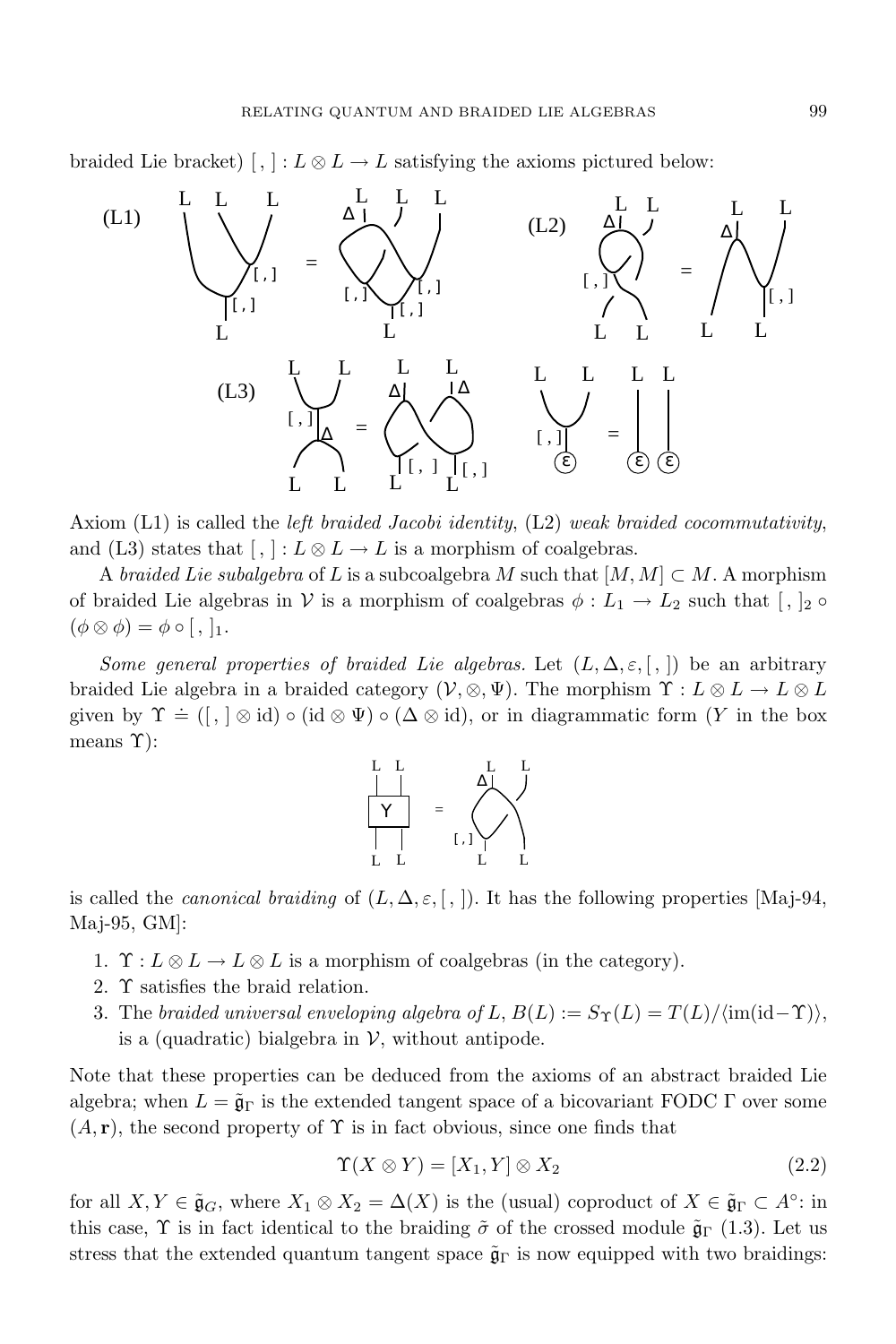braided Lie bracket)  $\left[ , \right] : L \otimes L \rightarrow L$  satisfying the axioms pictured below:



Axiom (L1) is called the *left braided Jacobi identity*, (L2) *weak braided cocommutativity*, and (L3) states that  $\lceil$ ,  $\rceil$  :  $L \otimes L \rightarrow L$  is a morphism of coalgebras.

A *braided* Lie subalgebra of L is a subcoalgebra M such that  $[M, M] \subset M$ . A morphism of braided Lie algebras in *V* is a morphism of coalgebras  $\phi: L_1 \to L_2$  such that  $\lceil \frac{1}{2} \circ \frac{1}{2} \rceil$  $(\phi \otimes \phi) = \phi \circ [$ , ]<sub>1</sub>.

*Some general properties of braided Lie algebras.* Let  $(L, \Delta, \varepsilon, \lceil, \rceil)$  be an arbitrary braided Lie algebra in a braided category  $(V, \otimes, \Psi)$ . The morphism  $\Upsilon : L \otimes L \to L \otimes L$ given by  $\Upsilon$  = ([, ]  $\otimes$  id)  $\circ$  (id  $\otimes$  Ψ)  $\circ$  ( $\Delta$   $\otimes$  id), or in diagrammatic form (*Y* in the box means  $\Upsilon$ :



is called the *canonical braiding* of  $(L, \Delta, \varepsilon, \lceil, \rceil)$ . It has the following properties [Maj-94, Maj-95, GM]:

- 1.  $\Upsilon : L \otimes L \to L \otimes L$  is a morphism of coalgebras (in the category).
- 2. Υ satisfies the braid relation.
- 3. The *braided universal enveloping algebra of*  $L$ ,  $B(L) := S_{\Upsilon}(L) = T(L)/\langle \text{im}(\text{id}-\Upsilon) \rangle$ , is a (quadratic) bialgebra in  $V$ , without antipode.

Note that these properties can be deduced from the axioms of an abstract braided Lie algebra; when  $L = \tilde{\mathfrak{g}}_{\Gamma}$  is the extended tangent space of a bicovariant FODC  $\Gamma$  over some  $(A, r)$ , the second property of  $\Upsilon$  is in fact obvious, since one finds that

$$
\Upsilon(X \otimes Y) = [X_1, Y] \otimes X_2 \tag{2.2}
$$

for all  $X, Y \in \tilde{\mathfrak{g}}_G$ , where  $X_1 \otimes X_2 = \Delta(X)$  is the (usual) coproduct of  $X \in \tilde{\mathfrak{g}}_\Gamma \subset A^\circ$ : in this case,  $\Upsilon$  is in fact identical to the braiding  $\tilde{\sigma}$  of the crossed module  $\tilde{\mathfrak{g}}_{\Gamma}$  (1.3). Let us stress that the extended quantum tangent space  $\tilde{\mathfrak{g}}_{\Gamma}$  is now equipped with two braidings: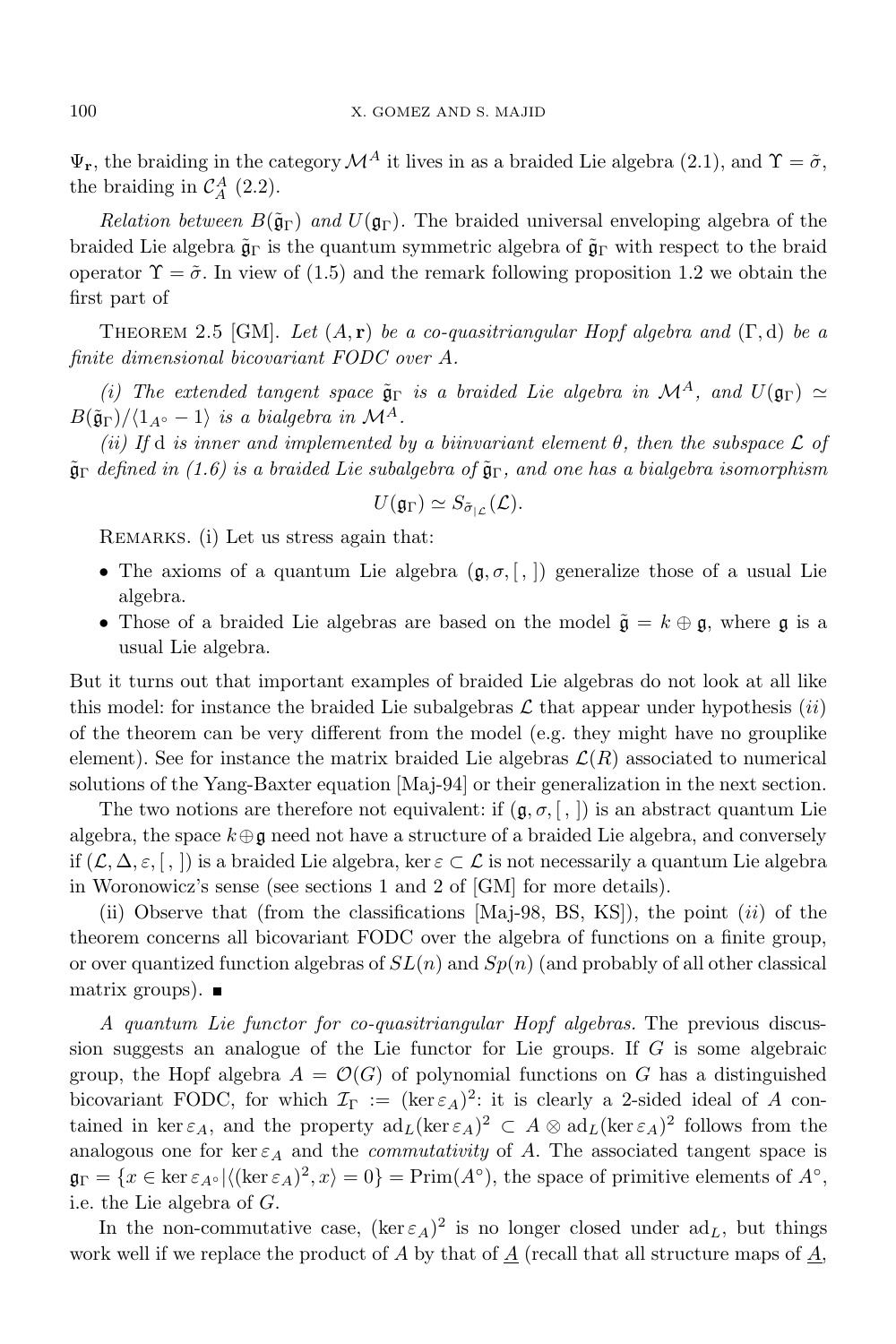$\Psi_r$ , the braiding in the category  $\mathcal{M}^A$  it lives in as a braided Lie algebra (2.1), and  $\Upsilon = \tilde{\sigma}$ , the braiding in  $\mathcal{C}_A^A$  (2.2).

*Relation between*  $B(\tilde{\mathfrak{g}}_{\Gamma})$  *and*  $U(\mathfrak{g}_{\Gamma})$ . The braided universal enveloping algebra of the braided Lie algebra  $\tilde{\mathfrak{g}}_{\Gamma}$  is the quantum symmetric algebra of  $\tilde{\mathfrak{g}}_{\Gamma}$  with respect to the braid operator  $\Upsilon = \tilde{\sigma}$ . In view of (1.5) and the remark following proposition 1.2 we obtain the first part of

Theorem 2.5 [GM]. *Let* (*A,* **r**) *be a co-quasitriangular Hopf algebra and* (Γ*,* d) *be a finite dimensional bicovariant FODC over A.*

*(i) The extended tangent space*  $\tilde{\mathfrak{g}}_{\Gamma}$  *is a braided Lie algebra in*  $\mathcal{M}^A$ *, and*  $U(\mathfrak{g}_{\Gamma}) \simeq$  $B(\tilde{\mathfrak{g}}_{\Gamma})/ \langle 1_{A^{\circ}} - 1 \rangle$  *is a bialgebra in*  $\mathcal{M}^{A}$ *.* 

 $(i)$  *If*  $d$  *is inner and implemented by a biinvariant element*  $\theta$ *, then the subspace*  $\mathcal{L}$  *of* ˜g<sup>Γ</sup> *defined in (1.6) is a braided Lie subalgebra of* ˜gΓ*, and one has a bialgebra isomorphism*

$$
U(\mathfrak{g}_{\Gamma})\simeq S_{\tilde{\sigma}_{|\mathcal{L}}}(\mathcal{L}).
$$

REMARKS. (i) Let us stress again that:

- The axioms of a quantum Lie algebra  $(\mathfrak{g}, \sigma, \lceil, \rceil)$  generalize those of a usual Lie algebra.
- Those of a braided Lie algebras are based on the model  $\tilde{\mathfrak{g}} = k \oplus \mathfrak{g}$ , where  $\mathfrak{g}$  is a usual Lie algebra.

But it turns out that important examples of braided Lie algebras do not look at all like this model: for instance the braided Lie subalgebras  $\mathcal L$  that appear under hypothesis *(ii)* of the theorem can be very different from the model (e.g. they might have no grouplike element). See for instance the matrix braided Lie algebras  $\mathcal{L}(R)$  associated to numerical solutions of the Yang-Baxter equation [Maj-94] or their generalization in the next section.

The two notions are therefore not equivalent: if  $(g, \sigma, [ , ])$  is an abstract quantum Lie algebra, the space  $k \oplus \mathfrak{g}$  need not have a structure of a braided Lie algebra, and conversely if  $(L, \Delta, \varepsilon, \lceil, \rceil)$  is a braided Lie algebra, ker  $\varepsilon \subset L$  is not necessarily a quantum Lie algebra in Woronowicz's sense (see sections 1 and 2 of [GM] for more details).

(ii) Observe that (from the classifications [Maj-98, BS, KS]), the point (*ii*) of the theorem concerns all bicovariant FODC over the algebra of functions on a finite group, or over quantized function algebras of *SL*(*n*) and *Sp*(*n*) (and probably of all other classical matrix groups).  $\blacksquare$ 

*A quantum Lie functor for co-quasitriangular Hopf algebras.* The previous discussion suggests an analogue of the Lie functor for Lie groups. If *G* is some algebraic group, the Hopf algebra  $A = \mathcal{O}(G)$  of polynomial functions on G has a distinguished bicovariant FODC, for which  $\mathcal{I}_{\Gamma} := (\ker \varepsilon_A)^2$ : it is clearly a 2-sided ideal of *A* contained in ker  $\varepsilon_A$ , and the property  $\mathrm{ad}_L(\ker \varepsilon_A)^2 \subset A \otimes \mathrm{ad}_L(\ker \varepsilon_A)^2$  follows from the analogous one for ker  $\varepsilon_A$  and the *commutativity* of A. The associated tangent space is  $\mathfrak{g}_{\Gamma} = \{x \in \ker \varepsilon_{A} \circ | \langle (\ker \varepsilon_A)^2, x \rangle = 0\} = \text{Prim}(A^{\circ}),$  the space of primitive elements of  $A^{\circ}$ , i.e. the Lie algebra of *G*.

In the non-commutative case,  $(\ker \varepsilon_A)^2$  is no longer closed under  $ad_L$ , but things work well if we replace the product of  $A$  by that of  $\underline{A}$  (recall that all structure maps of  $\underline{A}$ ,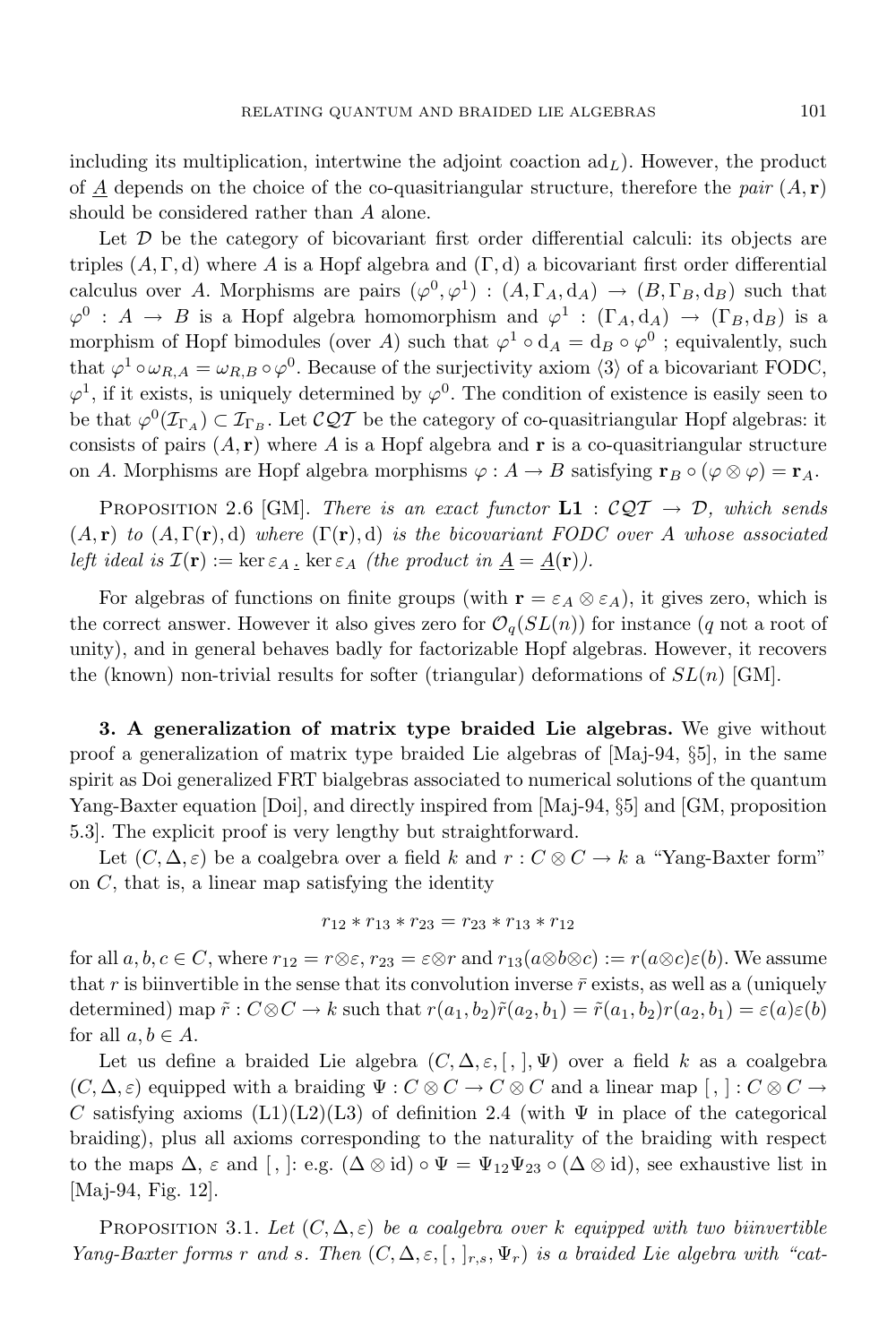including its multiplication, intertwine the adjoint coaction  $ad<sub>L</sub>$ ). However, the product of *A* depends on the choice of the co-quasitriangular structure, therefore the *pair*  $(A, r)$ should be considered rather than *A* alone.

Let  $D$  be the category of bicovariant first order differential calculi: its objects are triples  $(A, \Gamma, d)$  where A is a Hopf algebra and  $(\Gamma, d)$  a bicovariant first order differential calculus over *A*. Morphisms are pairs  $(\varphi^0, \varphi^1) : (A, \Gamma_A, d_A) \to (B, \Gamma_B, d_B)$  such that  $\varphi^0$  : *A*  $\rightarrow$  *B* is a Hopf algebra homomorphism and  $\varphi^1$  :  $(\Gamma_A, d_A) \rightarrow (\Gamma_B, d_B)$  is a morphism of Hopf bimodules (over *A*) such that  $\varphi^1 \circ d_A = d_B \circ \varphi^0$ ; equivalently, such that  $\varphi^1 \circ \omega_{R,A} = \omega_{R,B} \circ \varphi^0$ . Because of the surjectivity axiom  $\langle 3 \rangle$  of a bicovariant FODC,  $\varphi^1$ , if it exists, is uniquely determined by  $\varphi^0$ . The condition of existence is easily seen to be that  $\varphi^0(\mathcal{I}_{\Gamma_A}) \subset \mathcal{I}_{\Gamma_B}$ . Let  $\mathcal{CQT}$  be the category of co-quasitriangular Hopf algebras: it consists of pairs  $(A, r)$  where *A* is a Hopf algebra and **r** is a co-quasitriangular structure on *A*. Morphisms are Hopf algebra morphisms  $\varphi : A \to B$  satisfying  $\mathbf{r}_B \circ (\varphi \otimes \varphi) = \mathbf{r}_A$ .

PROPOSITION 2.6 [GM]. *There is an exact functor*  $L1 : \mathcal{CQT} \rightarrow \mathcal{D}$ *, which sends*  $(A, \mathbf{r})$  *to*  $(A, \Gamma(\mathbf{r}), d)$  *where*  $(\Gamma(\mathbf{r}), d)$  *is the bicovariant FODC over A whose associated left ideal is*  $\mathcal{I}(\mathbf{r}) := \ker \varepsilon_A$ .  $\ker \varepsilon_A$  *(the product in*  $\underline{A} = \underline{A}(\mathbf{r})$ *).* 

For algebras of functions on finite groups (with  $\mathbf{r} = \varepsilon_A \otimes \varepsilon_A$ ), it gives zero, which is the correct answer. However it also gives zero for  $\mathcal{O}_q(SL(n))$  for instance (*q* not a root of unity), and in general behaves badly for factorizable Hopf algebras. However, it recovers the (known) non-trivial results for softer (triangular) deformations of *SL*(*n*) [GM].

**3. A generalization of matrix type braided Lie algebras.** We give without proof a generalization of matrix type braided Lie algebras of [Maj-94, *§*5], in the same spirit as Doi generalized FRT bialgebras associated to numerical solutions of the quantum Yang-Baxter equation [Doi], and directly inspired from [Maj-94, *§*5] and [GM, proposition 5.3]. The explicit proof is very lengthy but straightforward.

Let  $(C, \Delta, \varepsilon)$  be a coalgebra over a field *k* and  $r : C \otimes C \to k$  a "Yang-Baxter form" on *C*, that is, a linear map satisfying the identity

$$
r_{12} \ast r_{13} \ast r_{23} = r_{23} \ast r_{13} \ast r_{12}
$$

for all  $a, b, c \in C$ , where  $r_{12} = r \otimes \varepsilon$ ,  $r_{23} = \varepsilon \otimes r$  and  $r_{13}(a \otimes b \otimes c) := r(a \otimes c)\varepsilon(b)$ . We assume that  $r$  is biinvertible in the sense that its convolution inverse  $\bar{r}$  exists, as well as a (uniquely determined) map  $\tilde{r}: C \otimes C \to k$  such that  $r(a_1, b_2)\tilde{r}(a_2, b_1) = \tilde{r}(a_1, b_2)r(a_2, b_1) = \varepsilon(a)\varepsilon(b)$ for all  $a, b \in A$ .

Let us define a braided Lie algebra (*C,* ∆*, ε,* [ *,* ]*,* Ψ) over a field *k* as a coalgebra  $(C, \Delta, \varepsilon)$  equipped with a braiding  $\Psi : C \otimes C \to C \otimes C$  and a linear map  $[, \,]: C \otimes C \to C$ *C* satisfying axioms  $(L1)(L2)(L3)$  of definition 2.4 (with  $\Psi$  in place of the categorical braiding), plus all axioms corresponding to the naturality of the braiding with respect to the maps  $\Delta$ ,  $\varepsilon$  and  $[$ ,  $]:$  e.g.  $(\Delta \otimes id) \circ \Psi = \Psi_{12} \Psi_{23} \circ (\Delta \otimes id)$ , see exhaustive list in [Maj-94, Fig. 12].

PROPOSITION 3.1. Let  $(C, \Delta, \varepsilon)$  be a coalgebra over k equipped with two biinvertible Yang-Baxter forms r and s. Then  $(C, \Delta, \varepsilon, [ , ]_{r,s}, \Psi_r)$  is a braided Lie algebra with "cat